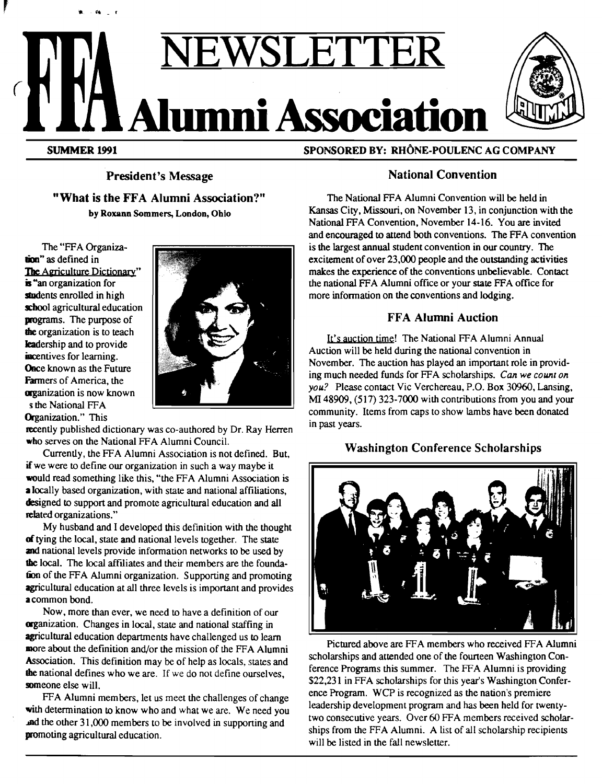# JETT **Alumni Association**



SUMMER 1991

. ....

SPONSORED BY: RHÔNE-POULENC AG COMPANY

President's Message "What is the FFA Alumni Association?" by Roxann Sommers, London, Ohio

The "FFA Organizalion" as defined in The Agriculture Dictionary" is "an organization for students enrolled in high school agricultural education programs. The purpose of the organization is to teach leadership and to provide incentives for learning. Once known as the Future Farmers of America, the organization is now known s the National FFA Organization." This



recently published dictionary was co-authored by Dr. Ray Herren who serves on the National FFA Alumni Council.

Currently, the FFA Alumni Association is not defined. But, if we were to define our organization in such a way maybe it would read something like this, "the FFA Alumni Association is a locally based organization, with state and national affiliations, designed to support and promote agricultural education and all related organizations."

My husband and I developed this definition with the thought of tying the local, state and national levels together. The state and national levels provide information networks to be used by the local. The local affiliates and their members are the foundation of the FFA Alumni organization. Supporting and promoting agricultural education at all three levels is important and provides a common bond.

Now, more than ever, we need to have a definition of our organization. Changes in local, state and national staffing in agricultural education departments have challenged us to learn more about the definition and/or the mission of the FFA Alumni Association. This definition may be of help as locals, states and the national defines who we are. If we do not define ourselves, someone else will.

FFA Alumni members, let us meet the challenges of change with determination to know who and what we are. We need you **and the other 31,000 members to be involved in supporting and** promoting agricultural education.

# National Convention

The National FFA Alumni Convention will be held in Kansas City, Missouri, on November 13, in conjunction with the National FFA Convention, November 14-16. You are invited and encouraged to attend both conventions. The FFA convention is the largest annual student convention in our country. The excitement of over 23,000 people and the outstanding activities makes the experience of the conventions unbelievable. Contact the national FFA Alumni office or your state FFA office for more information on the conventions and lodging.

# **FFA Alumni Auction**

It's auction time! The National FFA Alumni Annual Auction will be held during the national convention in November. The auction has played an important role in providing much needed funds for FFA scholarships. *Can we count on you?* Please contact Vic Verchereau, P.O. Box 30960, Lansing, MI 48909, (517) 323-7000 with contributions from you and your community. Items from caps to show lambs have been donated in past years.

# Washington Conference Scholarships



Pictured above are FFA members who received FFA Alumni scholarships and attended one of the fourteen Washington Conference Programs this summer. The FFA Alumni is providing \$22,231 in FFA scholarships for this year's Washington Conference Program. WCP is recognized as the nation's premiere leadership development program and has been held for twentytwo consecutive years. Over 60 FFA members received scholarships from the FFA Alumni. A list of all scholarship recipients will be listed in the fall newsletter.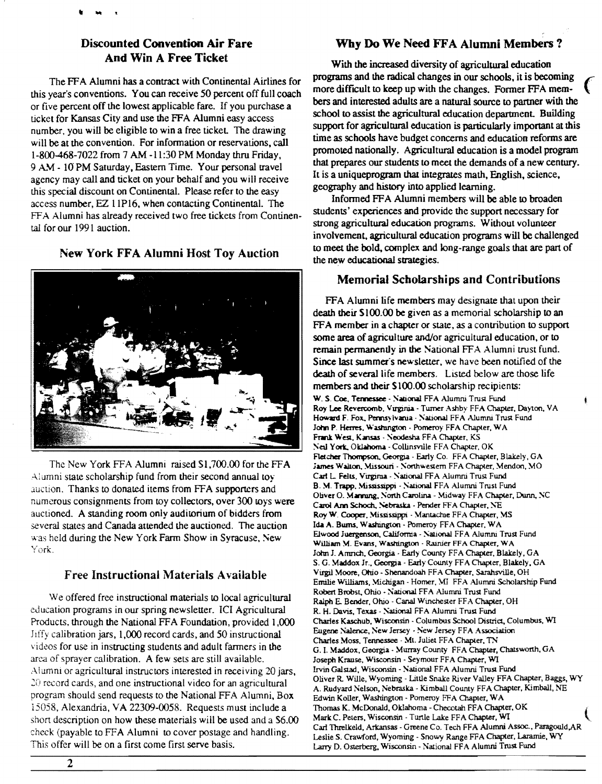# Discounted Convention Air Fare And Win A Free Ticket

The FF A Alumni has a contract with Continental Airlines for this year's conventions. You can receive 50 percent off full coach or five percent off the lowest applicable fare. If you purchase a ticket for Kansas City and use the FFA Alumni easy access number, you will be eligible to win a free ticket. The drawing will be at the convention. For information or reservations, call 1-800-468-7022 from 7 AM -11 :30 PM Monday thru Friday, 9 AM - 10 PM Saturday, Eastern Time. Your personal travel agency may call and ticket on your behalf and you will receive this special discount on Continental. Please refer to the easy access number, EZ l 1Pl6, when contacting Continental. The FFA Alumni has already received two free tickets from Continental for our 1991 auction.

New York FFA Alumni Host Toy Auction



The New York FFA Alumni raised \$1,700.00 for the FFA Alumni state scholarship fund from their second annual toy .iuction. Thanks to donated items from FFA supporters and numerous consignments from toy collectors, over 300 toys were auctioned. A standing room only auditorium of bidders from several states and Canada attended the auctioned. The auction was held during the New York Farm Show in Syracuse, New York.

## Free Instructional Materials Available

We offered free instructional materials to local agricultural education programs in our spring newsletter. ICI Agricultural Products, lhrough the National FFA Foundation, provided 1,000 Jiffy calibration jars, 1,000 record cards, and 50 instructional videos for use in instructing students and adult fanners in the area of sprayer calibration. A few sets are still available. Alumni or agricultural instructors interested in receiving 20 jars, 20 record cards, and one instructional video for an agricultural program should send requests to lhe National FFA Alumni, Box 15058, Alexandria, VA 22309-0058. Requests must include a short description on how these materials will be used and a S6.00 check (payable to FFA Alumni to cover postage and handling. This offer will be on a first come first serve basis.

## Why Do We Need FFA Alumni Members?

With the increased diversity of agricultural education programs and the radical changes in our schools, it is becoming more difficult to keep up with the changes. Former FFA members and interested adults are a natural source to panner with the school to assist the agricultural education department. Building support for agricultural education is particularly important at this time as schools have budget concerns and education refonns are promoted nationally. Agricultural education is a model program that prepares our students to meet the demands of a new century. It is a uniqueprogram that integrates math, English, science, geography and history into applied learning.

Informed FF A Alumni members will be able to broaden students' experiences and provide the support necessary for strong agricultural education programs. Without volunteer involvement, agricultural education programs will be challenged to meet the bold. complex and long-range goals that are part of the new educational strategies.

## Memorial Scholarships and Contributions

FFA Alumni life members may designate that upon their death their Sl00.00 be given as a memorial scholarship to an FFA member in a chapter or state, as a contribution to support some area of agriculture and/or agricultural education, or to remain permanently in the National FFA Alumni trust fund. Since last summer's new sletter, we have been notified of the death of several life members. Listed below are those life members and their \$100.00 scholarship recipients: W. S. Coe, Tennessee - National FFA Alumni Trust Fund Roy Lee Revercomb. Virginia - Tumer Ashby FFA Chapter, Dayton, VA Howard F. Fox, Pennsylvania · National FFA Alumni Trust Fund John P. Herres, Washington - Pomeroy FFA Chapter, WA Frank West, Kansas - Neodesha FFA Chapter, KS Neil York, Oklahoma - Collinsville FFA Chapter, OK Fletcher Thompson, Georgia - Early Co. FFA Chapter, Blakely, GA James Walton, Missouri - Northwestem FFA Chapter, Mendon, MO Carl L. Felts, Virgirua - National FFA Alumni Trust Fund B. M. Trapp. Mississippi - National FFA Alumni Trust Fund Oliver O. Marming, North Carolina - Midway FFA Chapter, Dunn, NC Carol Ann Schoch, Nebraska - Pender FFA Chapter, NE Roy W. Cooper, Mississippi - Mantachie FFA Chapter, MS Ida A. Bums, Washington - Pomeroy FFA Chapter, WA Elwood Juergenson, California - National FFA Alumni Trust Fund William M. Evans, Washington - Rainier FFA Chapter, WA John J. Amnch, Georgia - Early County FFA Chapter, Blakely, GA *S.* G. Maddox Jr .. Georgia· Early County FFA Chapter, Blakely. GA Virgil Moore, Ohio - Shenandoah FFA Chapter, Sarahsville, OH Emilie Williams, Michigan - Homer, MI FFA Alumni Scholarship Fund Robert Brobst. Ohio - National FFA Alumni Trust Fund Ralph E. Bender, Ohio· Canal Winchester FFA Chapter, OH R. H. Davis, Texas - National FFA Alumni Trust Fund Charles Kaschub, Wisconsin · Columbus School District, Columbus, WI Eugene Nalence, New Jersey · New Jersey FFA Association Charles Moss, Tennessee - Mt. Juliet FFA Chapter, TN G. I. Maddox, Georgia· Murray County FF A Chapter, Chatswotth, GA Joseph Krause, Wisconsin - Seymour FFA Chapter, WI Irvin Galstad, Wisconsin - National FFA Alumni Trust Fund Oliver R Wille, Wyoming· Little Snake River Valley FFA Chapter, Baggs, WY A. Rudyard Nelson, Nebraska - Kimball County FFA Chapter, Kimball, NE Edwin Koller, Washington - Pomeroy FFA Chapter, WA Thomas K. McDonald, Oklahoma - Checotah FFA Chapter, OK Mark C. Peters, Wisconsin - Turtle Lake FFA Chapter, WI Carl Threlkeld, Arkansas· Greene Co. Tech FFA Alumni Assoc., Paragould.AR · Leslie S. Crawford, Wyoming· Snowy Range FFA Chapter, Laramie, WY Larry D. Osterberg, Wisconsin· National FF A Alumni Trust Fund

 $\overline{2}$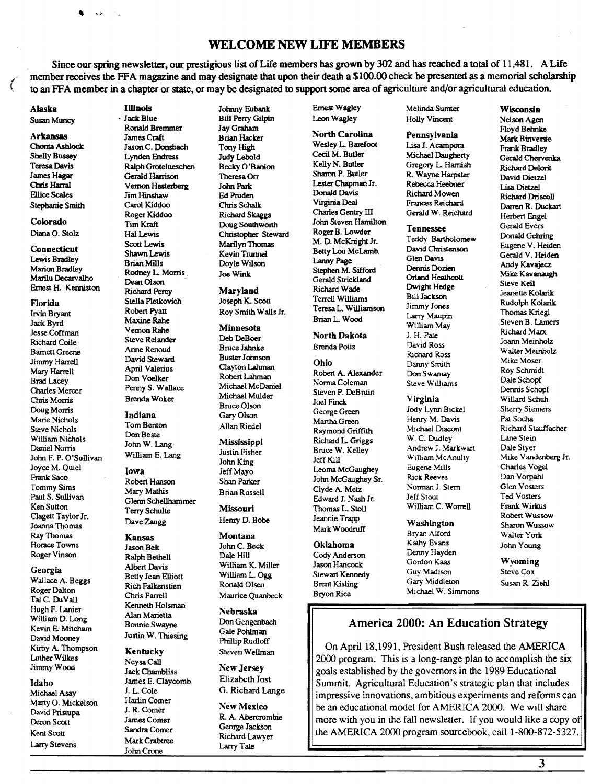## **WELCOME NEW LIFE MEMBERS**

Since our spring newsletter, our prestigious list of Life members has grown by 302 and has reached a total of 11,481. A Life member receives the FFA magazine and may designate that upon their death a \$100.00 check be presented as a memorial scholarship<br>to an EFA member in a chapter or state, or may be designated to support some area of agricult to an FFA member in a chapter or state, or may be designated to support some area of agriculture and/or agricultural education.

**ft** '"

# Lewis Bradley

Jesse Coffman Vernon Rahe<br>
Richard Coile Steve Relander Barnett Greene Anne Renoud<br>Jimmy Harrell David Steward Buster Johnson<br>April Valerius Clayton Lahman Mary Harrell April Valerius Clayton Lahman<br>
Mary Harrell **April Valerius** Clayton Lahman<br>
Read Lacev Charles Mercer Penny S. Wallace Michael Mul<br>Chris Morris Brenda Woker Michael Mul<br>Bruce Olson Doug Morris **Indiana** Bruce Olson<br>Maria Michael **Indiana** Gary Olson Marie Nichols Indiana Gary Olson Henry M. Davis Pai.Socha Steve Nichols **Example 10m Benton** Allan Riedel Raymond Griffith Michael Diacont Richard Stauffacher<br>
W. C. Dudley Lane Stein Michael Richard Richard I. Grigos W. C. Dudley Lane Stein William Nichols Don Beste<br>Daniel Norris John W. Lang winiam Nichols<br>Daniel Norris John W. Lang Mississippi Bruce W. Kelley Andrew J. Markwart Dale Stein<br>Dale Daniel William E. Jane Justin Fisher Bruce W. Kelley Andrew J. Markwart Dale Stein John F. P. O'Sullivan William E. Lang Jusun risner Studie William McAnulty Mike Vandenberg Jr.<br>John King Jeff Kill William McAnulty Mike Vandenberg Jr. Joyce M. Quiel Iowa Journals Charles Vogel Internating Leoma McGaughey Eugene Mills Charles Vogel Clagett Taylor Jr. Joanna Thomas Dave Zaugg Henry D. Booe Joanna Happ Washington Sharon Wussow<br>Mark Woodruff Prices Alford With Microsoft Mussow Ray Thomas **Kansas Montana** Montana Bryan Alford Walter York Horace Towns Jason Belt John C. Beck Oklahoma Kathy Evans John Young

Wallace A. Beggs Bearly Beart Enforcement Construction Brent Kisling Gary Middleton Susan R. Ziehl<br>Roger Dalton Rich Falkenstien Ronald Olsen Brent Kisling Michael W. Simmers Susan R. Ziehl Roger Dalton TaJ C. DuVall Hugh F. Lanier Kenneth Holst<br>Mälliam D. Lane (Kalan Marietta) David Mooney<br>
Vustin W. Thiesing<br>
Righty A. Thompson<br> **Example Rudley** 

Marty O. Mickelson Harlin Come<br>David Pristupa J. R. Comer

Arkansas James Craft Brian Hacker North Carolina Pennsylvania Mark Binversie Florida Stella Pletkovich Joseph K. Scott Terrell Williams Bui Jackson<br>
Irvin Bryant Robert Pyatt Roy Smith Walls Jr. Teresa L. Williamson Jimmy Jones<br>
Jack Byrd Maxine Rahe Strimmed Brian L. Wood Larry Maupin Irvin Bryant Maxine Rahe Roy Shinin Walis A.<br>Jack Byrd Maxine Rahe Minnocoto Brian L. Wood William May Steven B. Lamers erre Steve Relander Deb DeBoer Joann Dakota J. H. Paie<br>Richard Coile Steve Relander Dependence Dependence Dependence David Ross Joann Meinholz Anne Renoud Bruce Jahnke Brenda Potts David Ross Barnett Greene Anne Renoud Bluce Januare Bluce of Bluce Collection Corp. Walter Meinholz Walter Meinholz Brad Lacey **Don Voelker** Robert Lahman Robert A. Alexander Don Swamay Dale Schopf<br>Brad Lacey Dale Schopf Nichael McDavid Norma Coleman Steve Williams Dale Schopf Penny S. Wallace Michael McDaniel Norma Coleman<br>
Renny S. Wallace Michael Mulder Steven P. DeBruin Charles Mercer Penny S. Wallace Michael Mulder Steven P. DeBruin Charles Mercer Dennis Schopf

# Tom Benton Allan Riedel<br>Don Beste

Frank Saco Robert Hanson Shan Parker John McGaughey Sr. Rick Reeves Dan Vorpahl Tommy Sims Mary Mathis Brian Russell Clyde A. Metz ... Norman J. Stern Glen Vosters<br>Doul S. Solliver ... Ted Vosters ... The Clyde A. Metz ... Souls ... The Clyde Clyde Clyde Clyde Clyde ... The Paul S. Sullivan Glenn Schellhammer Bluari Russell<br>Clenn Schellhammer Edward J. Nash Jr. Jeff Stout Ted Vosters Ken Sutton Coloni Schulte Missouri Missouri Thomas L. Stoll William C. Worrell Frank Wirkus Poly Guiland Robert Wussow<br>Dave Zaugg Benry D. Bobe Jeannie Trapp Rashington Robert Wussow

Roger Vinson Ralph Bethell Dale Hill Cody Anderson Denny Hayden Albert Davis William K. Miller Jason Hancock Gordon Kaas Wyoming Georgia Betty Jean Elliott William L. Mines Subdivision Guy Madison Steve Cox<br>William L. Ogg Stewart Kennedy Guy Madison Steve Cox Rich Falkenstien Ronald Olsen Brent Kisling Gary Muddelon<br>Chris Farrell Maurice Quanbeck Bryon Rice Michael W. Simmons<br>Kenneth Holsman

Larry Stevens Mark Crabtree Larry Tate John Crone

Susan Muncy • Jack Blue Bill Perry Gilpin Leon Wagley Holly Vincent Nelson Agen Ronald Bremmer Jay Graham **Floyd Behnke Ronald Bremmer** Jay Graham **Floyd Behnke** Brian Mills **Doyle Wilson** Lanny Page<br>
Rodney L. Morris Loe Wink<br>
Rodney L. Morris Loe Wink

# Minnesota<br>
Milliam May<br>
North Dakota<br>
Milliam May<br>
Milliam May<br>
Milliam May

Nebraska

Alaska Illinois Johnny Eubank Ernest Wagley Melinda Sumter Wisconsin

Chonta Ashlock Jason C. Donsbach Tony High Wesley L Barefoot Lisa I. Acampora Frank Bradley Shelly Bussey Lynden Endress Judy Lebold Cecil M. Butler Michael Daugherty Gerald Chervenka Teresa Davis Ralph Grotelueschen Becky O'Banion Kelly N. Butler Gregory L. Hamish Richard Delorit James Hagar Gerald Harrison Theresa Orr Sharon P. Butler R. Wayne Harpster David Dietzel Chris Harral V emon Hesterberg John Park LesterChapmanJr. Rebecca Heebner Lisa Dietzel Ellice Scales Jim Hinshaw Ed Pruden Donald Davis Richard Mowen Richard Driscoll Stephanie Smith Carol Kiddoo Chris Schalk Virginia Deal Frances Reichard Darren R. Duckart Example Sham Carlo Charles Charles Charles Charles Gentry III Gerald W. Reichard Herbert Engel<br>Colorado Tim Kraft Doug Southworth John Steven Hamilton Tennessee Gerald Evers<br>Dinn Army Roger R. Lowder Tennessee Gerald Evers COMOTACIO COMOTACIO Tim Kraft Doug Southworth John Steven Hamilton Tennessee Gerald Evers Gerald Evers<br>Diana O. Stolz Hal Lewis Christopher Steward Roger B. Lowder Tennessee Donald Gehring<br>Compassion Contract Company Scott Scott Lewis Marilyn Thomas M. D. McKnight Jr. Teddy Bartholome<br>Scott Lewis Marilyn Thomas Betty Lou McLamb David Christenson Eugene V. Heiden Scott Lewis Marilyn Thomas M. D. McKhaghi M.<br>Connecticut Shawn Lewis (Sevin Trunnel Betty Lou McLamb David Christenson Carald V. Heiden Shawn Lewis Kevin Trunnel Belty Lou McLamb. Bavio Chistelia (Gerald V. Heiden)<br>Brian Mills Charles Millson Lampy Page Glen Davis Gerald V. Heiden Marion British Stephen Marion Latin Page (New Andy Kavajecz<br>Marion Bradley Rodney L. Morris Joe Wink Stephen M. Sifford Dennis Dozieri Mike Kavanaug Marion Diamon Joe Wink Supplem M. Sinonu – The Boston Mike Kavanaugh<br>Marilu Decarvalho Dean Olson Decarvalho Dae Olson Mice Kavanaugh Marilu Decarvalho Dean Olson Sexual Strickland Gerald Strickland Strickland Strickland Steve Keil Steve Keil Steve Keil Steve Keil Steve Keil Steve Keil Steve Keil Steve Keil Steve Keil Steve Keil Steve Keil Steve Keil Jac Florida Stella Pletkovich Joseph K. Scott Terrell Williams Bill Jackson<br>Terres Jimmy Jones Rudolph Kolarik

# Joel Finck Virginia Willard Schuh<br>George Green Jody Lynn Bickel Sherry Siemers

North Dakota l H. Pale Richard Marx<br>Renda Potts Botto David Ross Joann Meinholz Nichard Ross Walter Meinh<br>Ohio Danny Smith Mike Moser<br>Pobert A Alexander Dog Suppose: Roy Schmidt Robert A. Alexander Don Swamay Boy Schmidt<br>Norma Coleman Steve Williams Dale Schopf

ver Land<br>George Green Jody Lynn Bickel Sherry Sie<br>Martha Green Henry M. Davis Pat Socha Richard L. Griggs W.C. Dudley Lane Stein<br>Rruce W. Kelley Andrew J. Markwart Dale Styer

Thomas Kriegl<br>Steven B. Lamers

# William D. Long Alan Marietta<br>
Kevin E. Mitcham Bonnie Swayne Don Gengenbach America 2000: An Education Strategy<br>
David Mooney Justin W. Thiesing Phillip Rudloff (Communication Strategy Phillip Rudloff

Kirby A. Thompson Kentucky Steven Wellman (On April 18,1991, President Bush released the AMERICA<br>Luther Wilkes News Call (2000 program This is a long-range plan to accomplish the sit Luther Wilkes<br>
This is a long-range plan to accomplish the six<br>
This is a long-range plan to accomplish the six<br>
This is a long-range plan to accomplish the six<br>
This is a long-range plan to accomplish the six<br>
This is a l Jack Chambliss New Jersey goals established by the governors in the 1989 Educational<br>James E. Claycomb Elizabeth Jost Summit Agricultural Education's strategic plan that includ Idaho James E. Claycomb Elizabeth Jost Summit. Agricultural Education's strategic plan that includes<br>Michael Asay J. L. Cole G. Richard Lange mercesive innovations ambitious experiments and reforms ca M. L. Cole G. Richard Lange impressive innovations, ambitious experiments and reforms can<br>Harlin Comer  $\Sigma$ . R. Comer New Mexico R. A. Abercrombie  $\Sigma$  be an educational model for AMERICA 2000. We will share a copy Deron Scott James Comer R. A. Abercrombie more with you in the fall newsletter. If you would like a copy of process of the AMERICA 2000 program sourcebook call 1.800.872.5327 Kent Scott Sandra Comer George Jackson Richard Lawyer https://www.charles.com/https://www.charles.com/html AMERICA 2000 program sourcebook, call 1-800-872-5327.

3